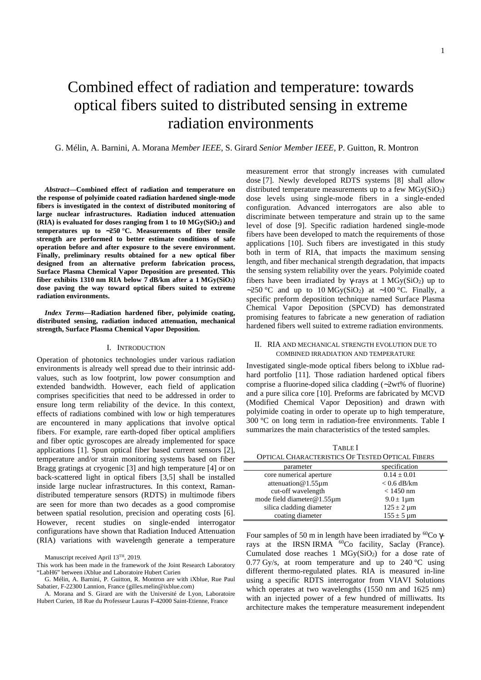# Combined effect of radiation and temperature: towards optical fibers suited to distributed sensing in extreme radiation environments

G. Mélin, A. Barnini, A. Morana *Member IEEE*, S. Girard *Senior Member IEEE,* P. Guitton, R. Montron

*Abstract***—Combined effect of radiation and temperature on the response of polyimide coated radiation hardened single-mode fibers is investigated in the context of distributed monitoring of large nuclear infrastructures. Radiation induced attenuation (RIA) is evaluated for doses ranging from 1 to 10 MGy(SiO2) and temperatures up to** ∼**250 °C. Measurements of fiber tensile strength are performed to better estimate conditions of safe operation before and after exposure to the severe environment. Finally, preliminary results obtained for a new optical fiber designed from an alternative preform fabrication process, Surface Plasma Chemical Vapor Deposition are presented. This fiber exhibits 1310 nm RIA below 7 dB/km after a 1 MGy(SiO2) dose paving the way toward optical fibers suited to extreme radiation environments.** 

*Index Terms***—Radiation hardened fiber, polyimide coating, distributed sensing, radiation induced attenuation, mechanical strength, Surface Plasma Chemical Vapor Deposition.**

## I. INTRODUCTION

Operation of photonics technologies under various radiation environments is already well spread due to their intrinsic addvalues, such as low footprint, low power consumption and extended bandwidth. However, each field of application comprises specificities that need to be addressed in order to ensure long term reliability of the device. In this context, effects of radiations combined with low or high temperatures are encountered in many applications that involve optical fibers. For example, rare earth-doped fiber optical amplifiers and fiber optic gyroscopes are already implemented for space applications [1]. Spun optical fiber based current sensors [2], temperature and/or strain monitoring systems based on fiber Bragg gratings at cryogenic [3] and high temperature [4] or on back-scattered light in optical fibers [3,5] shall be installed inside large nuclear infrastructures. In this context, Ramandistributed temperature sensors (RDTS) in multimode fibers are seen for more than two decades as a good compromise between spatial resolution, precision and operating costs [6]. However, recent studies on single-ended interrogator configurations have shown that Radiation Induced Attenuation (RIA) variations with wavelength generate a temperature

Manuscript received April 13TH, 2019.

This work has been made in the framework of the Joint Research Laboratory "LabH6" between iXblue and Laboratoire Hubert Curien

G. Mélin, A. Barnini, P. Guitton, R. Montron are with iXblue, Rue Paul Sabatier, F-22300 Lannion, France (gilles.melin@ixblue.com)

A. Morana and S. Girard are with the Université de Lyon, Laboratoire Hubert Curien, 18 Rue du Professeur Lauras F-42000 Saint-Etienne, France

measurement error that strongly increases with cumulated dose [7]. Newly developed RDTS systems [8] shall allow distributed temperature measurements up to a few  $MGy(SiO<sub>2</sub>)$ dose levels using single-mode fibers in a single-ended configuration. Advanced interrogators are also able to discriminate between temperature and strain up to the same level of dose [9]. Specific radiation hardened single-mode fibers have been developed to match the requirements of those applications [10]. Such fibers are investigated in this study both in term of RIA, that impacts the maximum sensing length, and fiber mechanical strength degradation, that impacts the sensing system reliability over the years. Polyimide coated fibers have been irradiated by  $\gamma$ -rays at 1 MGy(SiO<sub>2</sub>) up to  $~\sim$ 250 °C and up to 10 MGy(SiO2) at ~100 °C. Finally, a specific preform deposition technique named Surface Plasma Chemical Vapor Deposition (SPCVD) has demonstrated promising features to fabricate a new generation of radiation hardened fibers well suited to extreme radiation environments.

## II. RIA AND MECHANICAL STRENGTH EVOLUTION DUE TO COMBINED IRRADIATION AND TEMPERATURE

Investigated single-mode optical fibers belong to iXblue radhard portfolio [11]. Those radiation hardened optical fibers comprise a fluorine-doped silica cladding (∼2wt% of fluorine) and a pure silica core [10]. Preforms are fabricated by MCVD (Modified Chemical Vapor Deposition) and drawn with polyimide coating in order to operate up to high temperature, 300 °C on long term in radiation-free environments. Table I summarizes the main characteristics of the tested samples.

TABLE I OPTICAL CHARACTERISTICS OF TESTED OPTICAL FIBERS

| parameter                  | specification                  |
|----------------------------|--------------------------------|
| core numerical aperture    | $0.14 \pm 0.01$                |
| attenuation $@1.55 \mu m$  | $< 0.6$ dB/km                  |
| cut-off wavelength         | $< 1450$ nm                    |
| mode field diameter@1.55µm | $9.0 \pm 1 \mu m$              |
| silica cladding diameter   | $125 \pm 2 \,\mathrm{\mu m}$   |
| coating diameter           | $155 \pm 5 \,\mathrm{\upmu m}$ |

Four samples of 50 m in length have been irradiated by  ${}^{60}Co$  γrays at the IRSN IRMA <sup>60</sup>Co facility, Saclay (France). Cumulated dose reaches 1  $MG<sub>V</sub>(SiO<sub>2</sub>)$  for a dose rate of 0.77 Gy/s, at room temperature and up to  $240^{\circ}$ C using different thermo-regulated plates. RIA is measured in-line using a specific RDTS interrogator from VIAVI Solutions which operates at two wavelengths (1550 nm and 1625 nm) with an injected power of a few hundred of milliwatts. Its architecture makes the temperature measurement independent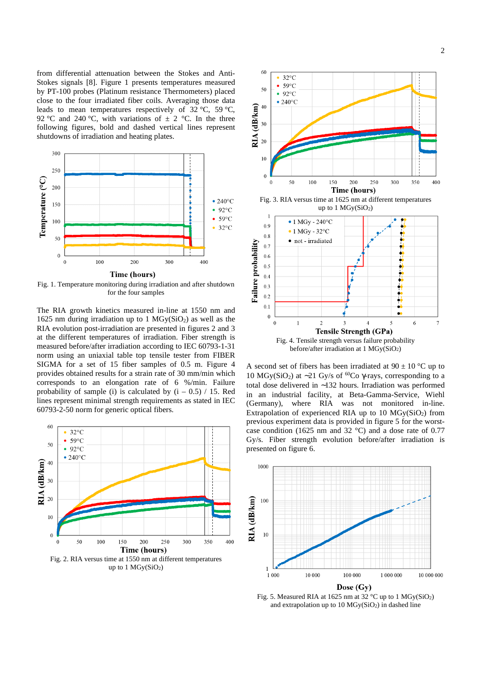from differential attenuation between the Stokes and Anti-Stokes signals [8]. Figure 1 presents temperatures measured by PT-100 probes (Platinum resistance Thermometers) placed close to the four irradiated fiber coils. Averaging those data leads to mean temperatures respectively of  $32 \degree C$ ,  $59 \degree C$ , 92 °C and 240 °C, with variations of  $\pm$  2 °C. In the three following figures, bold and dashed vertical lines represent shutdowns of irradiation and heating plates.



Fig. 1. Temperature monitoring during irradiation and after shutdown for the four samples

The RIA growth kinetics measured in-line at 1550 nm and 1625 nm during irradiation up to 1  $MGy(SiO<sub>2</sub>)$  as well as the RIA evolution post-irradiation are presented in figures 2 and 3 at the different temperatures of irradiation. Fiber strength is measured before/after irradiation according to IEC 60793-1-31 norm using an uniaxial table top tensile tester from FIBER SIGMA for a set of 15 fiber samples of 0.5 m. Figure 4 provides obtained results for a strain rate of 30 mm/min which corresponds to an elongation rate of 6 %/min. Failure probability of sample (i) is calculated by  $(i - 0.5) / 15$ . Red lines represent minimal strength requirements as stated in IEC 60793-2-50 norm for generic optical fibers.





A second set of fibers has been irradiated at  $90 \pm 10$  °C up to 10 MGy(SiO2) at ∼21 Gy/s of <sup>60</sup>Co γ-rays, corresponding to a total dose delivered in ∼132 hours. Irradiation was performed in an industrial facility, at Beta-Gamma-Service, Wiehl (Germany), where RIA was not monitored in-line. Extrapolation of experienced RIA up to 10  $MG<sub>Y</sub>(SiO<sub>2</sub>)$  from previous experiment data is provided in figure 5 for the worstcase condition (1625 nm and 32 °C) and a dose rate of 0.77 Gy/s. Fiber strength evolution before/after irradiation is presented on figure 6.



Fig. 5. Measured RIA at 1625 nm at  $32^{\circ}$ C up to 1 MGv(SiO<sub>2</sub>) and extrapolation up to  $10$  MGy(SiO<sub>2</sub>) in dashed line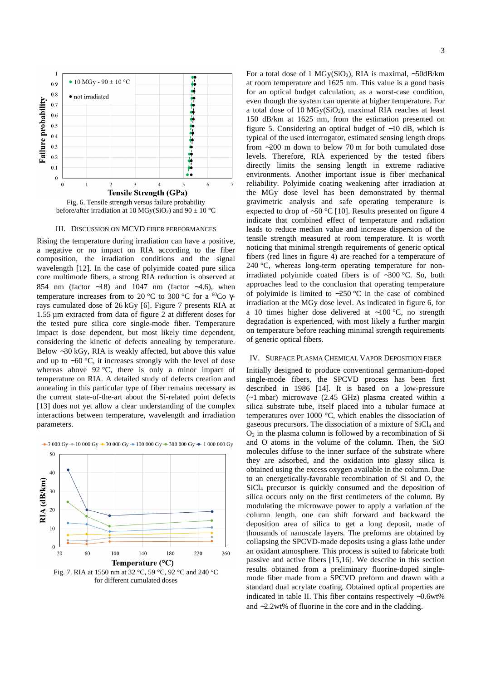

## III. DISCUSSION ON MCVD FIBER PERFORMANCES

Rising the temperature during irradiation can have a positive, a negative or no impact on RIA according to the fiber composition, the irradiation conditions and the signal wavelength [12]. In the case of polyimide coated pure silica core multimode fibers, a strong RIA reduction is observed at 854 nm (factor ∼18) and 1047 nm (factor ∼4.6), when temperature increases from to 20 °C to 300 °C for a <sup>60</sup>Co γrays cumulated dose of 26 kGy [6]. Figure 7 presents RIA at 1.55 µm extracted from data of figure 2 at different doses for the tested pure silica core single-mode fiber. Temperature impact is dose dependent, but most likely time dependent, considering the kinetic of defects annealing by temperature. Below ∼30 kGy, RIA is weakly affected, but above this value and up to ∼60 °C, it increases strongly with the level of dose whereas above 92 °C, there is only a minor impact of temperature on RIA. A detailed study of defects creation and annealing in this particular type of fiber remains necessary as the current state-of-the-art about the Si-related point defects [13] does not yet allow a clear understanding of the complex interactions between temperature, wavelength and irradiation parameters.



 $-3000 \text{ Gy} + 10000 \text{ Gy} - 30000 \text{ Gy} + 100000 \text{ Gy} - 300000 \text{ Gy} + 1000000 \text{ Gy}$ 

For a total dose of 1 MGy(SiO2), RIA is maximal, ∼50dB/km at room temperature and 1625 nm. This value is a good basis for an optical budget calculation, as a worst-case condition, even though the system can operate at higher temperature. For a total dose of  $10$  MGy(SiO<sub>2</sub>), maximal RIA reaches at least 150 dB/km at 1625 nm, from the estimation presented on figure 5. Considering an optical budget of ∼10 dB, which is typical of the used interrogator, estimated sensing length drops from ∼200 m down to below 70 m for both cumulated dose levels. Therefore, RIA experienced by the tested fibers directly limits the sensing length in extreme radiative environments. Another important issue is fiber mechanical reliability. Polyimide coating weakening after irradiation at the MGy dose level has been demonstrated by thermal gravimetric analysis and safe operating temperature is expected to drop of ∼50 °C [10]. Results presented on figure 4 indicate that combined effect of temperature and radiation leads to reduce median value and increase dispersion of the tensile strength measured at room temperature. It is worth noticing that minimal strength requirements of generic optical fibers (red lines in figure 4) are reached for a temperature of 240 °C, whereas long-term operating temperature for nonirradiated polyimide coated fibers is of ∼300 °C. So, both approaches lead to the conclusion that operating temperature of polyimide is limited to ∼250 °C in the case of combined irradiation at the MGy dose level. As indicated in figure 6, for a 10 times higher dose delivered at ∼100 °C, no strength degradation is experienced, with most likely a further margin on temperature before reaching minimal strength requirements of generic optical fibers.

# IV. SURFACE PLASMA CHEMICAL VAPOR DEPOSITION FIBER

Initially designed to produce conventional germanium-doped single-mode fibers, the SPCVD process has been first described in 1986 [14]. It is based on a low-pressure (~1 mbar) microwave (2.45 GHz) plasma created within a silica substrate tube, itself placed into a tubular furnace at temperatures over 1000 °C, which enables the dissociation of gaseous precursors. The dissociation of a mixture of  $SiCl<sub>4</sub>$  and  $O<sub>2</sub>$  in the plasma column is followed by a recombination of Si and O atoms in the volume of the column. Then, the SiO molecules diffuse to the inner surface of the substrate where they are adsorbed, and the oxidation into glassy silica is obtained using the excess oxygen available in the column. Due to an energetically-favorable recombination of Si and O, the SiCl4 precursor is quickly consumed and the deposition of silica occurs only on the first centimeters of the column. By modulating the microwave power to apply a variation of the column length, one can shift forward and backward the deposition area of silica to get a long deposit, made of thousands of nanoscale layers. The preforms are obtained by collapsing the SPCVD-made deposits using a glass lathe under an oxidant atmosphere. This process is suited to fabricate both passive and active fibers [15,16]. We describe in this section results obtained from a preliminary fluorine-doped singlemode fiber made from a SPCVD preform and drawn with a standard dual acrylate coating. Obtained optical properties are indicated in table II. This fiber contains respectively ∼0.6wt% and ∼2.2wt% of fluorine in the core and in the cladding.